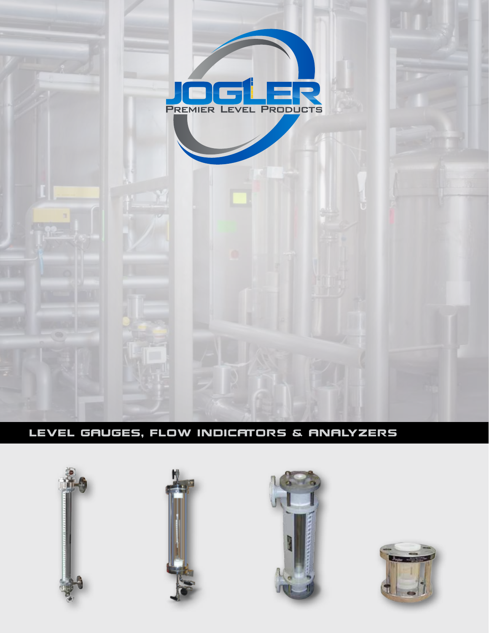

LEVEL GAUGES, FLOW INDICATORS & ANALYZERS







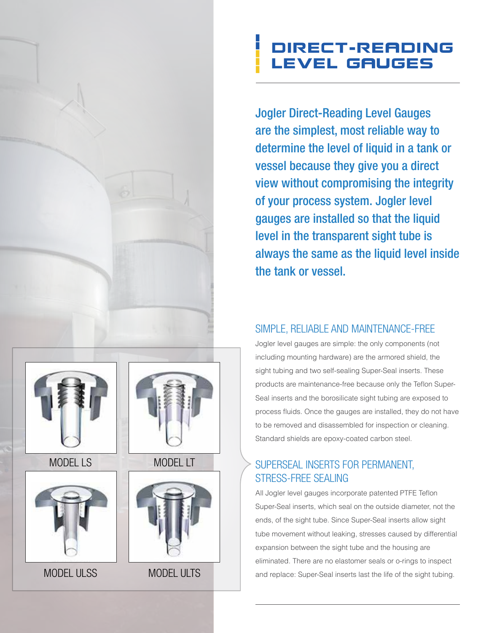## Direct-reading Level Gauges

Jogler Direct-Reading Level Gauges are the simplest, most reliable way to determine the level of liquid in a tank or vessel because they give you a direct view without compromising the integrity of your process system. Jogler level gauges are installed so that the liquid level in the transparent sight tube is always the same as the liquid level inside the tank or vessel.

### simple, reliable and maintenance-free

Jogler level gauges are simple: the only components (not including mounting hardware) are the armored shield, the sight tubing and two self-sealing Super-Seal inserts. These products are maintenance-free because only the Teflon Super-Seal inserts and the borosilicate sight tubing are exposed to process fluids. Once the gauges are installed, they do not have to be removed and disassembled for inspection or cleaning. Standard shields are epoxy-coated carbon steel.

### superseal inserts for permanent, stress-free sealing

All Jogler level gauges incorporate patented PTFE Teflon Super-Seal inserts, which seal on the outside diameter, not the ends, of the sight tube. Since Super-Seal inserts allow sight tube movement without leaking, stresses caused by differential expansion between the sight tube and the housing are eliminated. There are no elastomer seals or o-rings to inspect and replace: Super-Seal inserts last the life of the sight tubing.



MODEL LS



MODEL ULSS





MODEL ULTS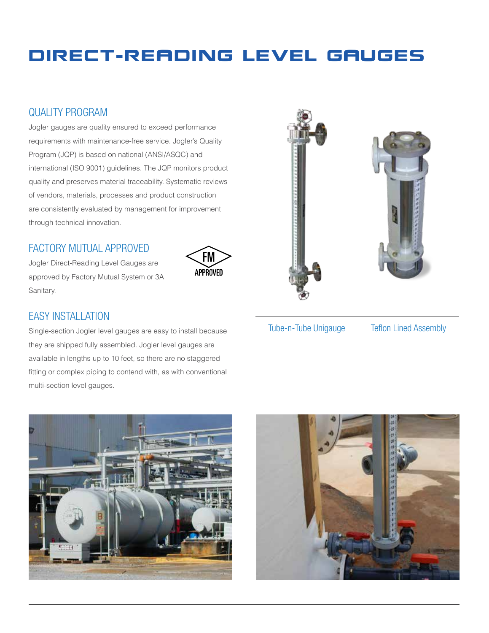## Direct-reading Level Gauges

FM APPROVED

### quality program

Jogler gauges are quality ensured to exceed performance requirements with maintenance-free service. Jogler's Quality Program (JQP) is based on national (ANSI/ASQC) and international (ISO 9001) guidelines. The JQP monitors product quality and preserves material traceability. Systematic reviews of vendors, materials, processes and product construction are consistently evaluated by management for improvement through technical innovation.

#### factory mutual approved

Jogler Direct-Reading Level Gauges are approved by Factory Mutual System or 3A Sanitary.

## EASY INSTALLATION

Single-section Jogler level gauges are easy to install because they are shipped fully assembled. Jogler level gauges are available in lengths up to 10 feet, so there are no staggered fitting or complex piping to contend with, as with conventional multi-section level gauges.







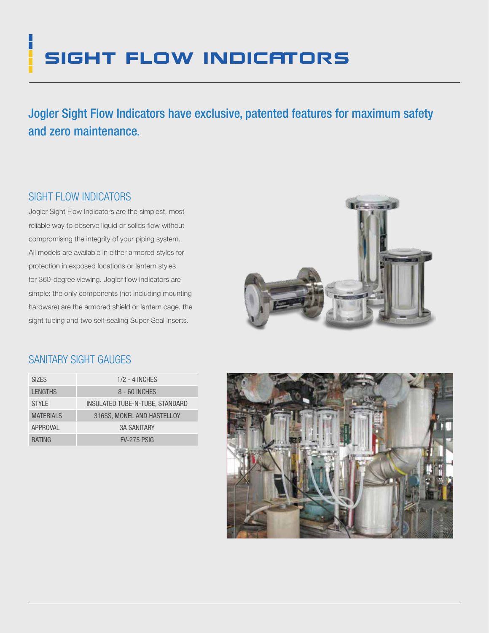# **SIGHT FLOW INDICATORS**

Jogler Sight Flow Indicators have exclusive, patented features for maximum safety and zero maintenance.

### sight flow indicators

l.

Jogler Sight Flow Indicators are the simplest, most reliable way to observe liquid or solids flow without compromising the integrity of your piping system. All models are available in either armored styles for protection in exposed locations or lantern styles for 360-degree viewing. Jogler flow indicators are simple: the only components (not including mounting hardware) are the armored shield or lantern cage, the sight tubing and two self-sealing Super-Seal inserts.



#### sanitary sight gauges

| <b>SIZES</b>     | $1/2 - 4$ INCHES                |
|------------------|---------------------------------|
| <b>LENGTHS</b>   | 8 - 60 INCHES                   |
| <b>STYLE</b>     | INSULATED TUBE-N-TUBE, STANDARD |
| <b>MATERIALS</b> | 316SS, MONEL AND HASTELLOY      |
| APPROVAL         | <b>3A SANITARY</b>              |
| <b>RATING</b>    | <b>FV-275 PSIG</b>              |

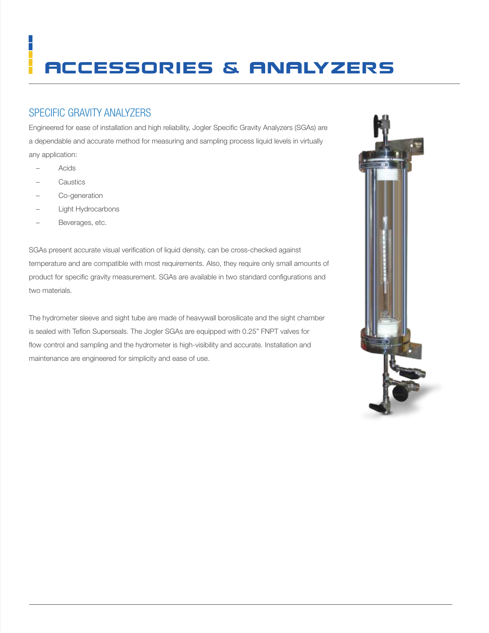# accessories & Analyzers

### SPECIFIC GRAVITY ANALYZERS

Engineered for ease of installation and high reliability, Jogler Specific Gravity Analyzers (SGAs) are a dependable and accurate method for measuring and sampling process liquid levels in virtually any application:

– Acids

- **Caustics**
- Co-generation
- Light Hydrocarbons
- Beverages, etc.

SGAs present accurate visual verification of liquid density, can be cross-checked against temperature and are compatible with most requirements. Also, they require only small amounts of product for specific gravity measurement. SGAs are available in two standard configurations and two materials.

The hydrometer sleeve and sight tube are made of heavywall borosilicate and the sight chamber is sealed with Teflon Superseals. The Jogler SGAs are equipped with 0.25" FNPT valves for flow control and sampling and the hydrometer is high-visibility and accurate. Installation and maintenance are engineered for simplicity and ease of use.